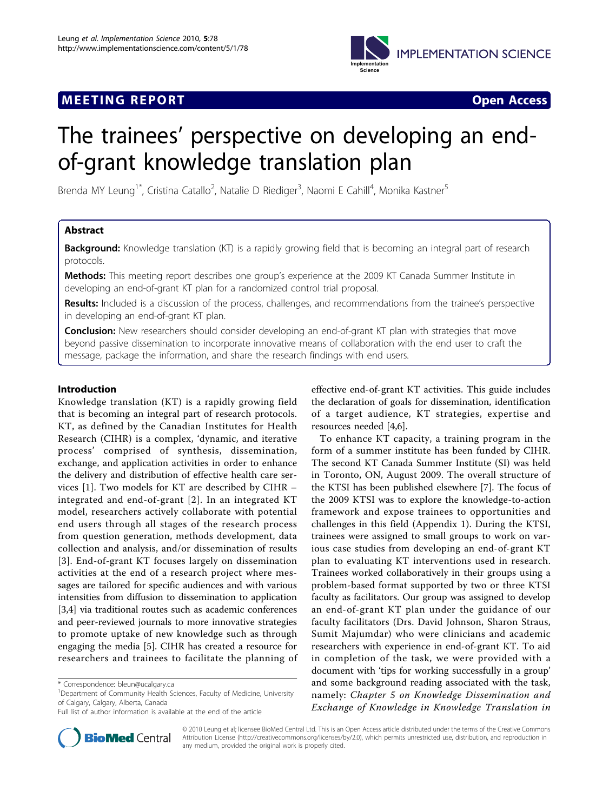

## **MEETING REPORT** And the second second second second second second second second second second second second second second second second second second second second second second second second second second second second s



# The trainees' perspective on developing an endof-grant knowledge translation plan

Brenda MY Leung<sup>1\*</sup>, Cristina Catallo<sup>2</sup>, Natalie D Riediger<sup>3</sup>, Naomi E Cahill<sup>4</sup>, Monika Kastner<sup>5</sup>

## Abstract

**Background:** Knowledge translation (KT) is a rapidly growing field that is becoming an integral part of research protocols.

Methods: This meeting report describes one group's experience at the 2009 KT Canada Summer Institute in developing an end-of-grant KT plan for a randomized control trial proposal.

Results: Included is a discussion of the process, challenges, and recommendations from the trainee's perspective in developing an end-of-grant KT plan.

Conclusion: New researchers should consider developing an end-of-grant KT plan with strategies that move beyond passive dissemination to incorporate innovative means of collaboration with the end user to craft the message, package the information, and share the research findings with end users.

## Introduction

Knowledge translation (KT) is a rapidly growing field that is becoming an integral part of research protocols. KT, as defined by the Canadian Institutes for Health Research (CIHR) is a complex, 'dynamic, and iterative process' comprised of synthesis, dissemination, exchange, and application activities in order to enhance the delivery and distribution of effective health care services [[1\]](#page-3-0). Two models for KT are described by CIHR – integrated and end-of-grant [[2](#page-3-0)]. In an integrated KT model, researchers actively collaborate with potential end users through all stages of the research process from question generation, methods development, data collection and analysis, and/or dissemination of results [[3](#page-3-0)]. End-of-grant KT focuses largely on dissemination activities at the end of a research project where messages are tailored for specific audiences and with various intensities from diffusion to dissemination to application [[3,4\]](#page-3-0) via traditional routes such as academic conferences and peer-reviewed journals to more innovative strategies to promote uptake of new knowledge such as through engaging the media [\[5](#page-3-0)]. CIHR has created a resource for researchers and trainees to facilitate the planning of

Full list of author information is available at the end of the article



effective end-of-grant KT activities. This guide includes the declaration of goals for dissemination, identification of a target audience, KT strategies, expertise and resources needed [[4](#page-3-0),[6\]](#page-3-0).

To enhance KT capacity, a training program in the form of a summer institute has been funded by CIHR. The second KT Canada Summer Institute (SI) was held in Toronto, ON, August 2009. The overall structure of the KTSI has been published elsewhere [\[7\]](#page-3-0). The focus of the 2009 KTSI was to explore the knowledge-to-action framework and expose trainees to opportunities and challenges in this field (Appendix 1). During the KTSI, trainees were assigned to small groups to work on various case studies from developing an end-of-grant KT plan to evaluating KT interventions used in research. Trainees worked collaboratively in their groups using a problem-based format supported by two or three KTSI faculty as facilitators. Our group was assigned to develop an end-of-grant KT plan under the guidance of our faculty facilitators (Drs. David Johnson, Sharon Straus, Sumit Majumdar) who were clinicians and academic researchers with experience in end-of-grant KT. To aid in completion of the task, we were provided with a document with 'tips for working successfully in a group' and some background reading associated with the task, namely: Chapter 5 on Knowledge Dissemination and Exchange of Knowledge in Knowledge Translation in

© 2010 Leung et al; licensee BioMed Central Ltd. This is an Open Access article distributed under the terms of the Creative Commons Attribution License [\(http://creativecommons.org/licenses/by/2.0](http://creativecommons.org/licenses/by/2.0)), which permits unrestricted use, distribution, and reproduction in any medium, provided the original work is properly cited.

<sup>\*</sup> Correspondence: [bleun@ucalgary.ca](mailto:bleun@ucalgary.ca)

<sup>&</sup>lt;sup>1</sup>Department of Community Health Sciences, Faculty of Medicine, University of Calgary, Calgary, Alberta, Canada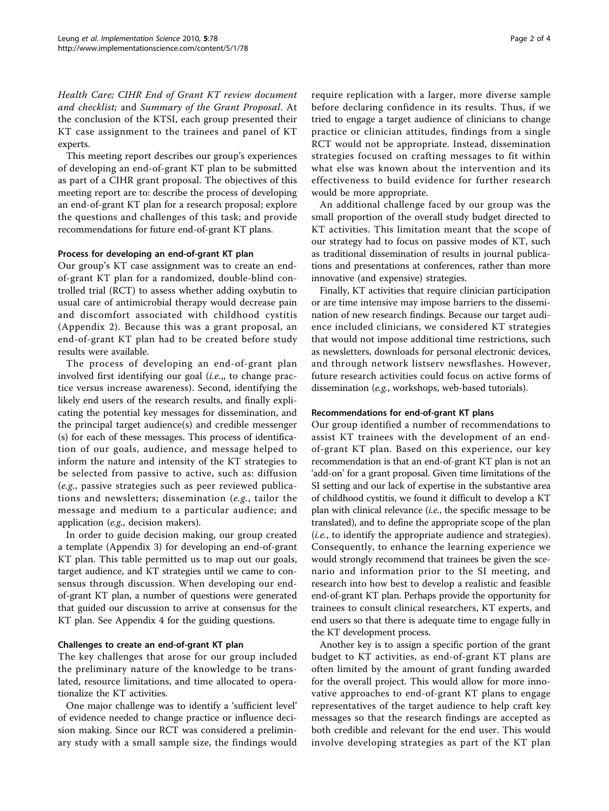Health Care; CIHR End of Grant KT review document and checklist; and Summary of the Grant Proposal. At the conclusion of the KTSI, each group presented their KT case assignment to the trainees and panel of KT experts.

This meeting report describes our group's experiences of developing an end-of-grant KT plan to be submitted as part of a CIHR grant proposal. The objectives of this meeting report are to: describe the process of developing an end-of-grant KT plan for a research proposal; explore the questions and challenges of this task; and provide recommendations for future end-of-grant KT plans.

## Process for developing an end-of-grant KT plan

Our group's KT case assignment was to create an endof-grant KT plan for a randomized, double-blind controlled trial (RCT) to assess whether adding oxybutin to usual care of antimicrobial therapy would decrease pain and discomfort associated with childhood cystitis (Appendix 2). Because this was a grant proposal, an end-of-grant KT plan had to be created before study results were available.

The process of developing an end-of-grant plan involved first identifying our goal (i.e.,, to change practice versus increase awareness). Second, identifying the likely end users of the research results, and finally explicating the potential key messages for dissemination, and the principal target audience(s) and credible messenger (s) for each of these messages. This process of identification of our goals, audience, and message helped to inform the nature and intensity of the KT strategies to be selected from passive to active, such as: diffusion (e.g., passive strategies such as peer reviewed publications and newsletters; dissemination (e.g., tailor the message and medium to a particular audience; and application (e.g., decision makers).

In order to guide decision making, our group created a template (Appendix 3) for developing an end-of-grant KT plan. This table permitted us to map out our goals, target audience, and KT strategies until we came to consensus through discussion. When developing our endof-grant KT plan, a number of questions were generated that guided our discussion to arrive at consensus for the KT plan. See Appendix 4 for the guiding questions.

## Challenges to create an end-of-grant KT plan

The key challenges that arose for our group included the preliminary nature of the knowledge to be translated, resource limitations, and time allocated to operationalize the KT activities.

One major challenge was to identify a 'sufficient level' of evidence needed to change practice or influence decision making. Since our RCT was considered a preliminary study with a small sample size, the findings would require replication with a larger, more diverse sample before declaring confidence in its results. Thus, if we tried to engage a target audience of clinicians to change practice or clinician attitudes, findings from a single RCT would not be appropriate. Instead, dissemination strategies focused on crafting messages to fit within what else was known about the intervention and its effectiveness to build evidence for further research would be more appropriate.

An additional challenge faced by our group was the small proportion of the overall study budget directed to KT activities. This limitation meant that the scope of our strategy had to focus on passive modes of KT, such as traditional dissemination of results in journal publications and presentations at conferences, rather than more innovative (and expensive) strategies.

Finally, KT activities that require clinician participation or are time intensive may impose barriers to the dissemination of new research findings. Because our target audience included clinicians, we considered KT strategies that would not impose additional time restrictions, such as newsletters, downloads for personal electronic devices, and through network listserv newsflashes. However, future research activities could focus on active forms of dissemination (e.g., workshops, web-based tutorials).

## Recommendations for end-of-grant KT plans

Our group identified a number of recommendations to assist KT trainees with the development of an endof-grant KT plan. Based on this experience, our key recommendation is that an end-of-grant KT plan is not an 'add-on' for a grant proposal. Given time limitations of the SI setting and our lack of expertise in the substantive area of childhood cystitis, we found it difficult to develop a KT plan with clinical relevance  $(i.e.,$  the specific message to be translated), and to define the appropriate scope of the plan (i.e., to identify the appropriate audience and strategies). Consequently, to enhance the learning experience we would strongly recommend that trainees be given the scenario and information prior to the SI meeting, and research into how best to develop a realistic and feasible end-of-grant KT plan. Perhaps provide the opportunity for trainees to consult clinical researchers, KT experts, and end users so that there is adequate time to engage fully in the KT development process.

Another key is to assign a specific portion of the grant budget to KT activities, as end-of-grant KT plans are often limited by the amount of grant funding awarded for the overall project. This would allow for more innovative approaches to end-of-grant KT plans to engage representatives of the target audience to help craft key messages so that the research findings are accepted as both credible and relevant for the end user. This would involve developing strategies as part of the KT plan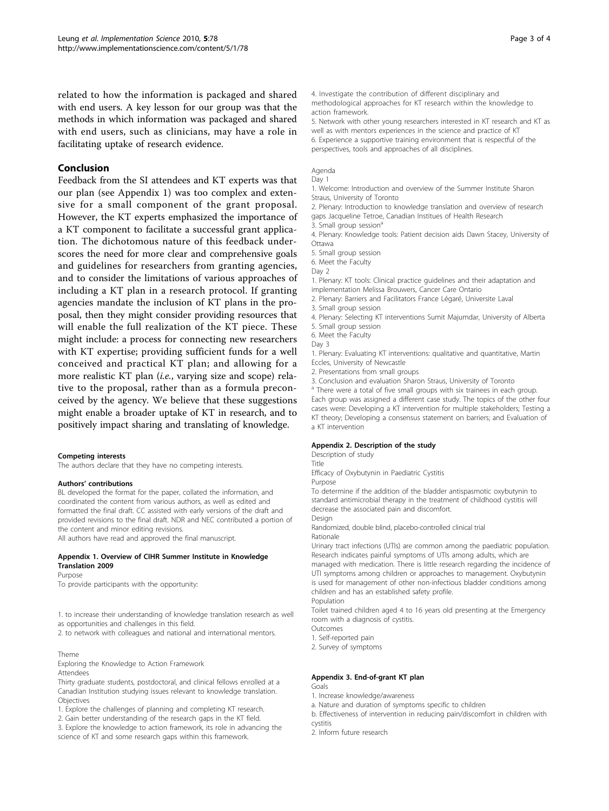related to how the information is packaged and shared with end users. A key lesson for our group was that the methods in which information was packaged and shared with end users, such as clinicians, may have a role in facilitating uptake of research evidence.

## Conclusion

Feedback from the SI attendees and KT experts was that our plan (see Appendix 1) was too complex and extensive for a small component of the grant proposal. However, the KT experts emphasized the importance of a KT component to facilitate a successful grant application. The dichotomous nature of this feedback underscores the need for more clear and comprehensive goals and guidelines for researchers from granting agencies, and to consider the limitations of various approaches of including a KT plan in a research protocol. If granting agencies mandate the inclusion of KT plans in the proposal, then they might consider providing resources that will enable the full realization of the KT piece. These might include: a process for connecting new researchers with KT expertise; providing sufficient funds for a well conceived and practical KT plan; and allowing for a more realistic KT plan (i.e., varying size and scope) relative to the proposal, rather than as a formula preconceived by the agency. We believe that these suggestions might enable a broader uptake of KT in research, and to positively impact sharing and translating of knowledge.

#### Competing interests

The authors declare that they have no competing interests.

#### Authors' contributions

BL developed the format for the paper, collated the information, and coordinated the content from various authors, as well as edited and formatted the final draft. CC assisted with early versions of the draft and provided revisions to the final draft. NDR and NEC contributed a portion of the content and minor editing revisions. All authors have read and approved the final manuscript.

#### Appendix 1. Overview of CIHR Summer Institute in Knowledge Translation 2009

#### Purpose

To provide participants with the opportunity:

1. to increase their understanding of knowledge translation research as well as opportunities and challenges in this field.

2. to network with colleagues and national and international mentors.

#### Theme

Exploring the Knowledge to Action Framework Attendees

Thirty graduate students, postdoctoral, and clinical fellows enrolled at a Canadian Institution studying issues relevant to knowledge translation. Objectives

1. Explore the challenges of planning and completing KT research.

2. Gain better understanding of the research gaps in the KT field.

3. Explore the knowledge to action framework, its role in advancing the science of KT and some research gaps within this framework.

4. Investigate the contribution of different disciplinary and methodological approaches for KT research within the knowledge to action framework.

5. Network with other young researchers interested in KT research and KT as well as with mentors experiences in the science and practice of KT 6. Experience a supportive training environment that is respectful of the perspectives, tools and approaches of all disciplines.

## Agenda

Day 1

1. Welcome: Introduction and overview of the Summer Institute Sharon Straus, University of Toronto

2. Plenary: Introduction to knowledge translation and overview of research gaps Jacqueline Tetroe, Canadian Institues of Health Research

3. Small group session<sup>6</sup>

4. Plenary: Knowledge tools: Patient decision aids Dawn Stacey, University of Ottawa

5. Small group session

6. Meet the Faculty

Day 2

1. Plenary: KT tools: Clinical practice guidelines and their adaptation and

implementation Melissa Brouwers, Cancer Care Ontario

2. Plenary: Barriers and Facilitators France Légaré, Universite Laval

3. Small group session

4. Plenary: Selecting KT interventions Sumit Majumdar, University of Alberta

5. Small group session

6. Meet the Faculty

Day 3

1. Plenary: Evaluating KT interventions: qualitative and quantitative, Martin Eccles, University of Newcastle

2. Presentations from small groups

3. Conclusion and evaluation Sharon Straus, University of Toronto

<sup>a</sup> There were a total of five small groups with six trainees in each group. Each group was assigned a different case study. The topics of the other four cases were: Developing a KT intervention for multiple stakeholders; Testing a KT theory; Developing a consensus statement on barriers; and Evaluation of a KT intervention

#### Appendix 2. Description of the study

Description of study

Title

Efficacy of Oxybutynin in Paediatric Cystitis

Purpose

To determine if the addition of the bladder antispasmotic oxybutynin to standard antimicrobial therapy in the treatment of childhood cystitis will decrease the associated pain and discomfort.

Design

Randomized, double blind, placebo-controlled clinical trial Rationale

Urinary tract infections (UTIs) are common among the paediatric population. Research indicates painful symptoms of UTIs among adults, which are

managed with medication. There is little research regarding the incidence of UTI symptoms among children or approaches to management. Oxybutynin is used for management of other non-infectious bladder conditions among children and has an established safety profile.

Population

Toilet trained children aged 4 to 16 years old presenting at the Emergency room with a diagnosis of cystitis.

Outcomes

1. Self-reported pain

2. Survey of symptoms

#### Appendix 3. End-of-grant KT plan Goals

- 1. Increase knowledge/awareness
- a. Nature and duration of symptoms specific to children

b. Effectiveness of intervention in reducing pain/discomfort in children with

cystitis

2. Inform future research